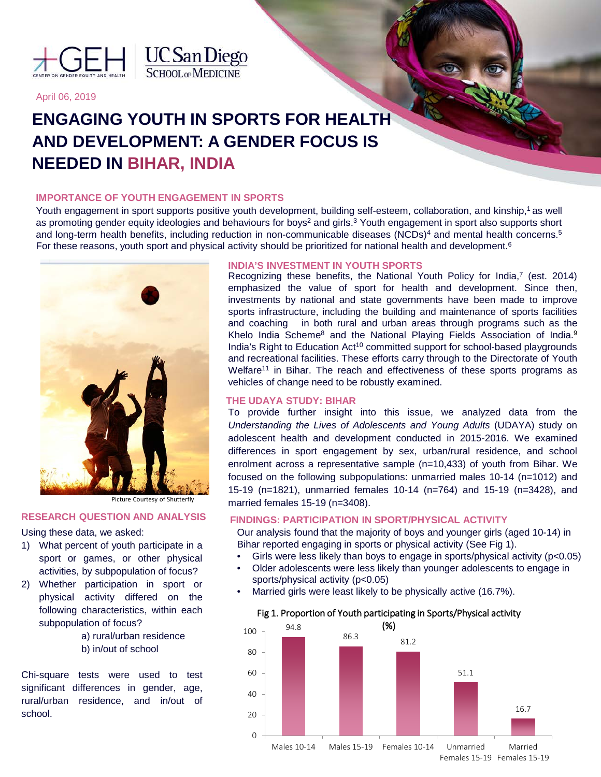



## April 06, 2019

# **ENGAGING YOUTH IN SPORTS FOR HEALTH AND DEVELOPMENT: A GENDER FOCUS IS NEEDED IN BIHAR, INDIA**

## **IMPORTANCE OF YOUTH ENGAGEMENT IN SPORTS**

Youth engagement in sport supports positive youth development, building self-esteem, collaboration, and kinship,<sup>1</sup> as well as promoting gender equity ideologies and behaviours for boys<sup>2</sup> and girls.<sup>3</sup> Youth engagement in sport also supports short and long-term health benefits, including reduction in non-communicable diseases (NCDs)<sup>4</sup> and mental health concerns.<sup>5</sup> For these reasons, youth sport and physical activity should be prioritized for national health and development.<sup>6</sup>



Picture Courtesy of Shutterfly

# **RESEARCH QUESTION AND ANALYSIS**

#### Using these data, we asked:

- 1) What percent of youth participate in a sport or games, or other physical activities, by subpopulation of focus?
- 2) Whether participation in sport or physical activity differed on the following characteristics, within each subpopulation of focus?
	- a) rural/urban residence b) in/out of school

Chi-square tests were used to test significant differences in gender, age, rural/urban residence, and in/out of school.

# **INDIA'S INVESTMENT IN YOUTH SPORTS**

Recognizing these benefits, the National Youth Policy for India,<sup>7</sup> (est. 2014) emphasized the value of sport for health and development. Since then, investments by national and state governments have been made to improve sports infrastructure, including the building and maintenance of sports facilities and coaching in both rural and urban areas through programs such as the Khelo India Scheme<sup>8</sup> and the National Playing Fields Association of India.<sup>9</sup> India's Right to Education Act<sup>10</sup> committed support for school-based playgrounds and recreational facilities. These efforts carry through to the Directorate of Youth Welfare<sup>11</sup> in Bihar. The reach and effectiveness of these sports programs as vehicles of change need to be robustly examined.

# **THE UDAYA STUDY: BIHAR**

To provide further insight into this issue, we analyzed data from the *Understanding the Lives of Adolescents and Young Adults* (UDAYA) study on adolescent health and development conducted in 2015-2016. We examined differences in sport engagement by sex, urban/rural residence, and school enrolment across a representative sample (n=10,433) of youth from Bihar. We focused on the following subpopulations: unmarried males 10-14 (n=1012) and 15-19 (n=1821), unmarried females 10-14 (n=764) and 15-19 (n=3428), and married females 15-19 (n=3408).

# **FINDINGS: PARTICIPATION IN SPORT/PHYSICAL ACTIVITY**

Our analysis found that the majority of boys and younger girls (aged 10-14) in Bihar reported engaging in sports or physical activity (See Fig 1).

- Girls were less likely than boys to engage in sports/physical activity (p<0.05)
- Older adolescents were less likely than younger adolescents to engage in sports/physical activity (p<0.05)
- Married girls were least likely to be physically active (16.7%).

#### Fig 1. Proportion of Youth participating in Sports/Physical activity